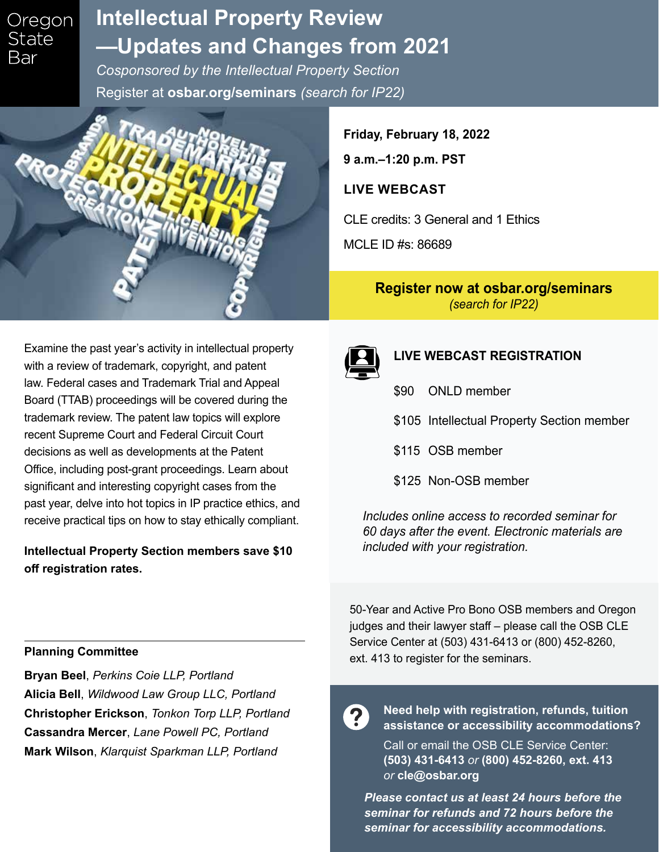## Oregon **State** Bar

# **Intellectual Property Review [—Updates and Changes from 2021](https://www.osbar.org/seminars)**

*Cosponsored by the Intellectual Property Section*  Register at **osbar.org/seminars** *(search for IP22)*



**Friday, February 18, 2022 9 a.m.–1:20 p.m. PST**

## **LIVE WEBCAST**

CLE credits: 3 General and 1 Ethics

MCLE ID #s: 86689

## **[Register now at osbar.org/seminars](https://www.osbar.org/seminars)**  *(search for IP22)*

Examine the past year's activity in intellectual property with a review of trademark, copyright, and patent law. Federal cases and Trademark Trial and Appeal Board (TTAB) proceedings will be covered during the trademark review. The patent law topics will explore recent Supreme Court and Federal Circuit Court decisions as well as developments at the Patent Office, including post-grant proceedings. Learn about significant and interesting copyright cases from the past year, delve into hot topics in IP practice ethics, and receive practical tips on how to stay ethically compliant.

## **Intellectual Property Section members save \$10 off registration rates.**



## **LIVE WEBCAST REGISTRATION**

- \$90 ONLD member
- \$105 Intellectual Property Section member
- \$115 OSB member
- \$125 Non-OSB member

*Includes online access to recorded seminar for 60 days after the event. Electronic materials are included with your registration.* 

#### **Planning Committee**

**Bryan Beel**, *Perkins Coie LLP, Portland* **Alicia Bell**, *Wildwood Law Group LLC, Portland* **Christopher Erickson**, *Tonkon Torp LLP, Portland* **Cassandra Mercer**, *Lane Powell PC, Portland* **Mark Wilson**, *Klarquist Sparkman LLP, Portland*

50-Year and Active Pro Bono OSB members and Oregon judges and their lawyer staff – please call the OSB CLE Service Center at (503) 431-6413 or (800) 452-8260, ext. 413 to register for the seminars.

2

**Need help with registration, refunds, tuition assistance or accessibility accommodations?** 

Call or email the OSB CLE Service Center: **(503) 431-6413** *or* **(800) 452-8260, ext. 413** *or* **cle@osbar.org**

*Please contact us at least 24 hours before the seminar for refunds and 72 hours before the seminar for accessibility accommodations.*